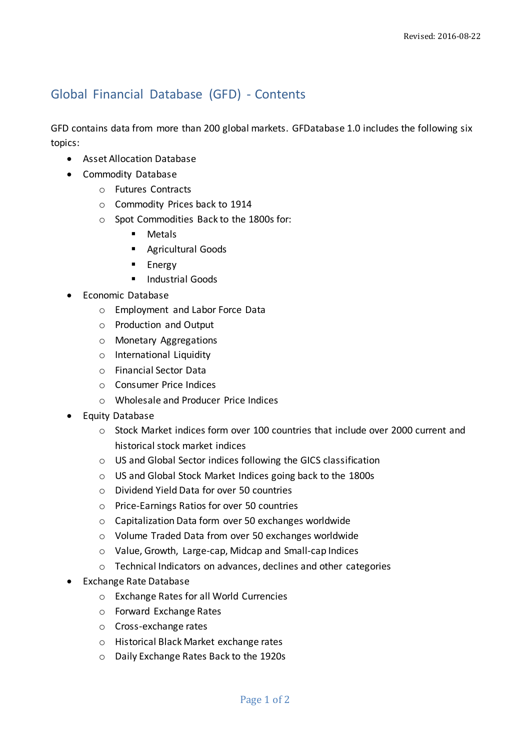## Global Financial Database (GFD) - Contents

GFD contains data from more than 200 global markets. GFDatabase 1.0 includes the following six topics:

- Asset Allocation Database
- Commodity Database
	- o Futures Contracts
	- o Commodity Prices back to 1914
	- o Spot Commodities Back to the 1800s for:
		- **Metals**
		- **Agricultural Goods**
		- **Energy**
		- **Industrial Goods**
- Economic Database
	- o Employment and Labor Force Data
	- o Production and Output
	- o Monetary Aggregations
	- o International Liquidity
	- o Financial Sector Data
	- o Consumer Price Indices
	- o Wholesale and Producer Price Indices
- **•** Equity Database
	- o Stock Market indices form over 100 countries that include over 2000 current and historical stock market indices
	- o US and Global Sector indices following the GICS classification
	- o US and Global Stock Market Indices going back to the 1800s
	- o Dividend Yield Data for over 50 countries
	- o Price-Earnings Ratios for over 50 countries
	- o Capitalization Data form over 50 exchanges worldwide
	- o Volume Traded Data from over 50 exchanges worldwide
	- o Value, Growth, Large-cap, Midcap and Small-cap Indices
	- o Technical Indicators on advances, declines and other categories
- Exchange Rate Database
	- o Exchange Rates for all World Currencies
	- o Forward Exchange Rates
	- o Cross-exchange rates
	- o Historical Black Market exchange rates
	- o Daily Exchange Rates Back to the 1920s